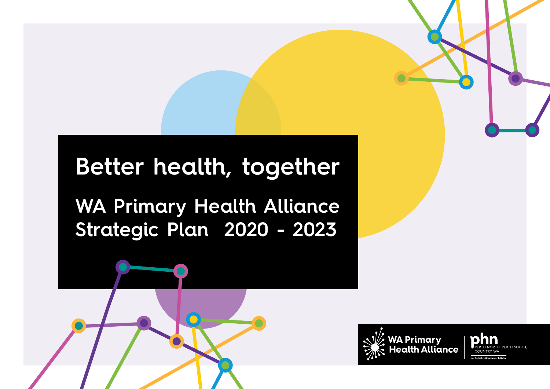## **Better health, together**

**WA Primary Health Alliance Strategic Plan 2020 - 2023**

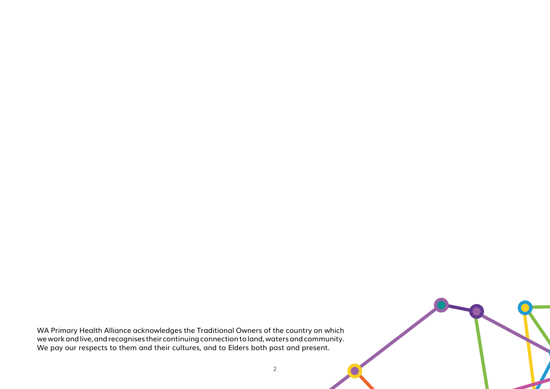WA Primary Health Alliance acknowledges the Traditional Owners of the country on which we work and live, and recognises their continuing connection to land, waters and community. We pay our respects to them and their cultures, and to Elders both past and present.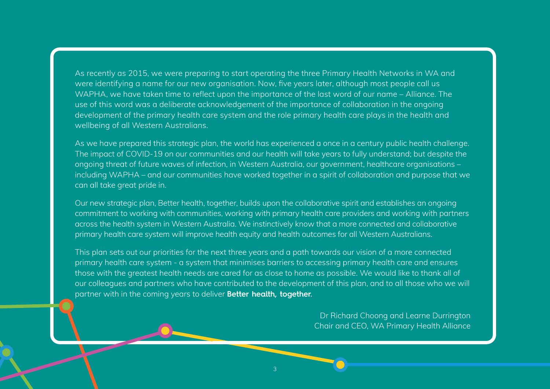As recently as 2015, we were preparing to start operating the three Primary Health Networks in WA and were identifying a name for our new organisation. Now, five years later, although most people call us WAPHA, we have taken time to reflect upon the importance of the last word of our name – Alliance. The use of this word was a deliberate acknowledgement of the importance of collaboration in the ongoing development of the primary health care system and the role primary health care plays in the health and wellbeing of all Western Australians.

As we have prepared this strategic plan, the world has experienced a once in a century public health challenge. The impact of COVID-19 on our communities and our health will take years to fully understand; but despite the ongoing threat of future waves of infection, in Western Australia, our government, healthcare organisations – including WAPHA – and our communities have worked together in a spirit of collaboration and purpose that we can all take great pride in.

Our new strategic plan, Better health, together, builds upon the collaborative spirit and establishes an ongoing commitment to working with communities, working with primary health care providers and working with partners across the health system in Western Australia. We instinctively know that a more connected and collaborative primary health care system will improve health equity and health outcomes for all Western Australians.

This plan sets out our priorities for the next three years and a path towards our vision of a more connected primary health care system - a system that minimises barriers to accessing primary health care and ensures those with the greatest health needs are cared for as close to home as possible. We would like to thank all of our colleagues and partners who have contributed to the development of this plan, and to all those who we will partner with in the coming years to deliver **Better health, together.**

> Dr Richard Choong and Learne Durrington Chair and CEO, WA Primary Health Alliance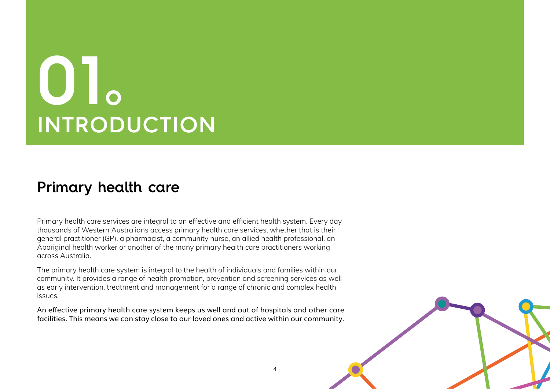## **01 INTRODUCTION**

### **Primary health care**

Primary health care services are integral to an effective and efficient health system. Every day thousands of Western Australians access primary health care services, whether that is their general practitioner (GP), a pharmacist, a community nurse, an allied health professional, an Aboriginal health worker or another of the many primary health care practitioners working across Australia.

The primary health care system is integral to the health of individuals and families within our community. It provides a range of health promotion, prevention and screening services as well as early intervention, treatment and management for a range of chronic and complex health issues.

An effective primary health care system keeps us well and out of hospitals and other care facilities. This means we can stay close to our loved ones and active within our community.

4

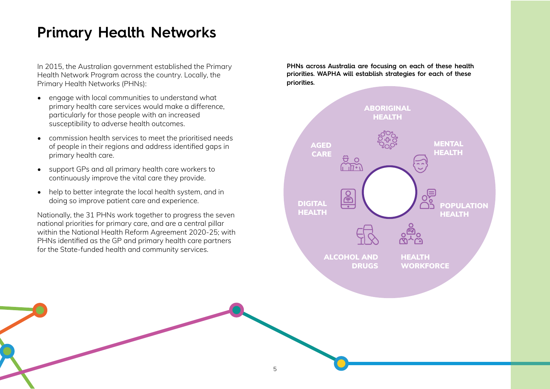## **Primary Health Networks**

In 2015, the Australian government established the Primary Health Network Program across the country. Locally, the Primary Health Networks (PHNs):

- engage with local communities to understand what primary health care services would make a difference, particularly for those people with an increased susceptibility to adverse health outcomes.
- commission health services to meet the prioritised needs of people in their regions and address identified gaps in primary health care.
- support GPs and all primary health care workers to continuously improve the vital care they provide.
- help to better integrate the local health system, and in doing so improve patient care and experience.

Nationally, the 31 PHNs work together to progress the seven national priorities for primary care, and are a central pillar within the National Health Reform Agreement 2020-25; with PHNs identified as the GP and primary health care partners for the State-funded health and community services.

**PHNs across Australia are focusing on each of these health priorities. WAPHA will establish strategies for each of these priorities.**

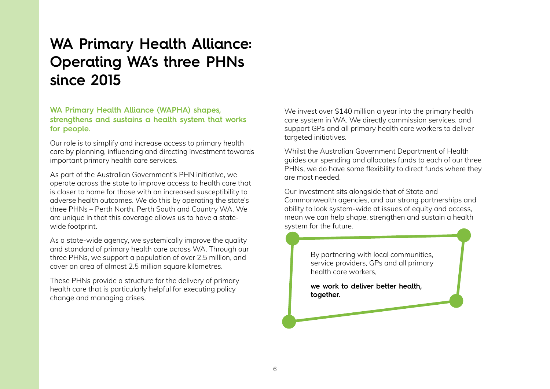## **WA Primary Health Alliance: Operating WA's three PHNs since 2015**

#### **WA Primary Health Alliance (WAPHA) shapes, strengthens and sustains a health system that works for people.**

Our role is to simplify and increase access to primary health care by planning, influencing and directing investment towards important primary health care services.

As part of the Australian Government's PHN initiative, we operate across the state to improve access to health care that is closer to home for those with an increased susceptibility to adverse health outcomes. We do this by operating the state's three PHNs – Perth North, Perth South and Country WA. We are unique in that this coverage allows us to have a statewide footprint.

As a state-wide agency, we systemically improve the quality and standard of primary health care across WA. Through our three PHNs, we support a population of over 2.5 million, and cover an area of almost 2.5 million square kilometres.

These PHNs provide a structure for the delivery of primary health care that is particularly helpful for executing policy change and managing crises.

We invest over \$140 million a year into the primary health care system in WA. We directly commission services, and support GPs and all primary health care workers to deliver targeted initiatives.

Whilst the Australian Government Department of Health guides our spending and allocates funds to each of our three PHNs, we do have some flexibility to direct funds where they are most needed.

Our investment sits alongside that of State and Commonwealth agencies, and our strong partnerships and ability to look system-wide at issues of equity and access, mean we can help shape, strengthen and sustain a health system for the future.

> By partnering with local communities, service providers, GPs and all primary health care workers,

**we work to deliver better health, together.**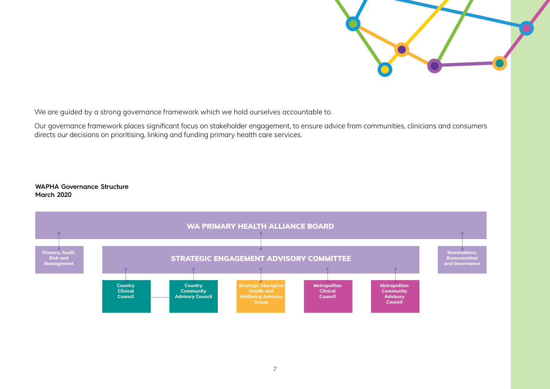

We are guided by a strong governance framework which we hold ourselves accountable to.

Our governance framework places significant focus on stakeholder engagement, to ensure advice from communities, clinicians and consumers directs our decisions on prioritising, linking and funding primary health care services.

#### **WAPHA Governance Structure March 2020**

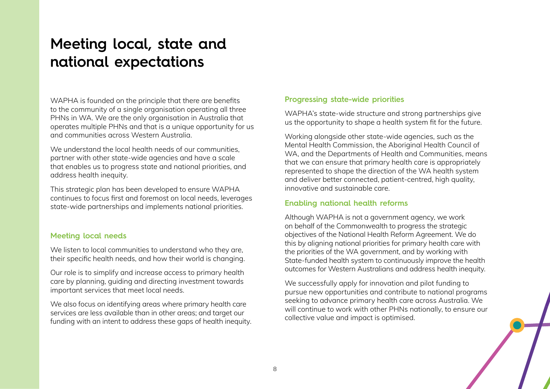## **Meeting local, state and national expectations**

WAPHA is founded on the principle that there are benefits to the community of a single organisation operating all three PHNs in WA. We are the only organisation in Australia that operates multiple PHNs and that is a unique opportunity for us and communities across Western Australia.

We understand the local health needs of our communities. partner with other state-wide agencies and have a scale that enables us to progress state and national priorities, and address health inequity.

This strategic plan has been developed to ensure WAPHA continues to focus first and foremost on local needs, leverages state-wide partnerships and implements national priorities.

#### **Meeting local needs**

We listen to local communities to understand who they are, their specific health needs, and how their world is changing.

Our role is to simplify and increase access to primary health care by planning, guiding and directing investment towards important services that meet local needs.

We also focus on identifying areas where primary health care services are less available than in other areas; and target our funding with an intent to address these gaps of health inequity.

#### **Progressing state-wide priorities**

WAPHA's state-wide structure and strong partnerships give us the opportunity to shape a health system fit for the future.

Working alongside other state-wide agencies, such as the Mental Health Commission, the Aboriginal Health Council of WA, and the Departments of Health and Communities, means that we can ensure that primary health care is appropriately represented to shape the direction of the WA health system and deliver better connected, patient-centred, high quality, innovative and sustainable care.

#### **Enabling national health reforms**

Although WAPHA is not a government agency, we work on behalf of the Commonwealth to progress the strategic objectives of the National Health Reform Agreement. We do this by aligning national priorities for primary health care with the priorities of the WA government, and by working with State-funded health system to continuously improve the health outcomes for Western Australians and address health inequity.

We successfully apply for innovation and pilot funding to pursue new opportunities and contribute to national programs seeking to advance primary health care across Australia. We will continue to work with other PHNs nationally, to ensure our collective value and impact is optimised.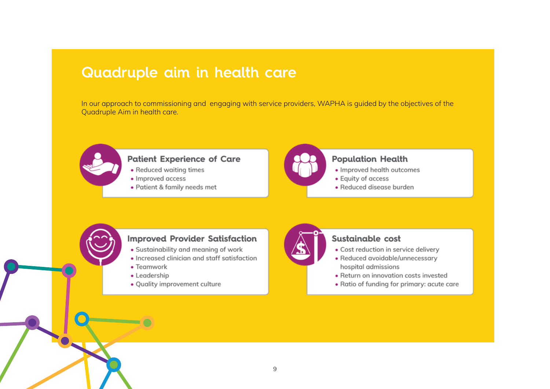### **Quadruple aim in health care**

In our approach to commissioning and engaging with service providers, WAPHA is guided by the objectives of the Quadruple Aim in health care.



#### **Patient Experience of Care**

- Reduced waiting times
- · Improved access
- · Patient & family needs met



#### **Population Health**

- · Improved health outcomes
- Equity of access
- · Reduced disease burden



#### **Improved Provider Satisfaction**

- Sustainability and meaning of work
- · Increased clinician and staff satisfaction
- Teamwork
- Leadership
- · Quality improvement culture



#### Sustainable cost

- Cost reduction in service delivery
- Reduced avoidable/unnecessary hospital admissions
- Return on innovation costs invested
- Ratio of funding for primary: acute care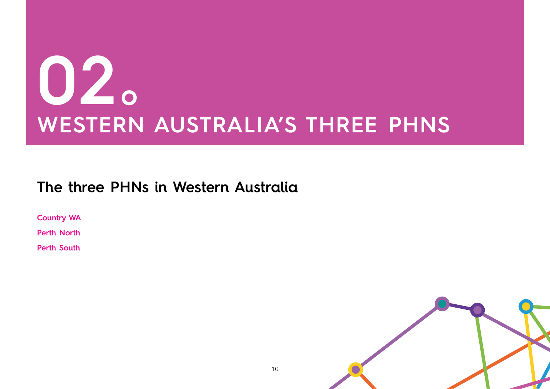## **02 WESTERN AUSTRALIA'S THREE PHNS**

## **The three PHNs in Western Australia**

**Country WA**

**Perth North**

**Perth South**

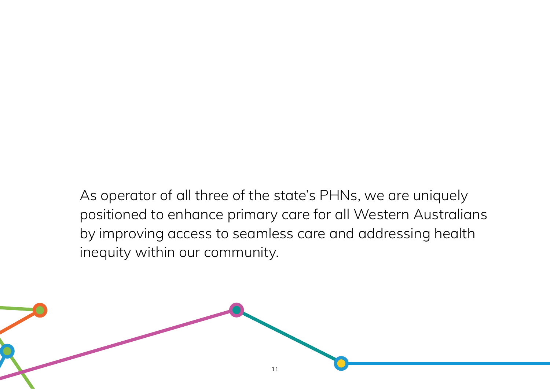As operator of all three of the state's PHNs, we are uniquely positioned to enhance primary care for all Western Australians by improving access to seamless care and addressing health inequity within our community.

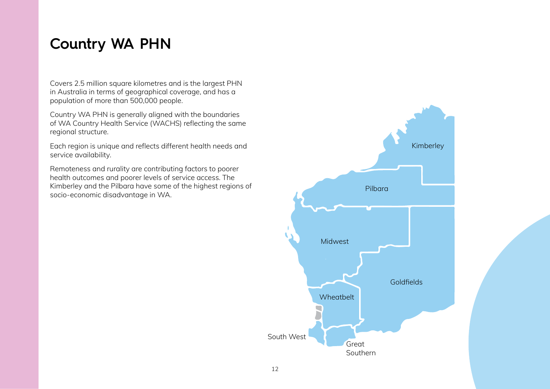## **Country WA PHN**

Covers 2.5 million square kilometres and is the largest PHN in Australia in terms of geographical coverage, and has a population of more than 500,000 people.

Country WA PHN is generally aligned with the boundaries of WA Country Health Service (WACHS) reflecting the same regional structure.

Each region is unique and reflects different health needs and service availability.

Remoteness and rurality are contributing factors to poorer health outcomes and poorer levels of service access. The Kimberley and the Pilbara have some of the highest regions of socio-economic disadvantage in WA.

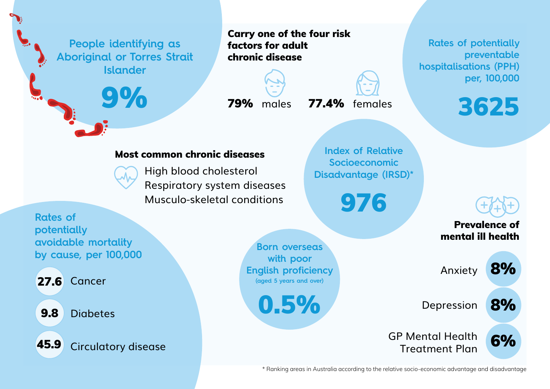**People identifying as Aboriginal or Torres Strait Islander**

9%

Carry one of the four risk factors for adult chronic disease



79% males 77.4% females

**Rates of potentially preventable hospitalisations (PPH) per, 100,000**



#### Most common chronic diseases



High blood cholesterol Respiratory system diseases Musculo-skeletal conditions

**Index of Relative Socioeconomic Disadvantage (IRSD)\*** 

976

**Rates of potentially avoidable mortality by cause, per 100,000**

**27.6** Cancer

**Diabetes** 9.8

Circulatory disease 45.9

**Born overseas with poor English proficiency (aged 5 years and over)**

0.5%

Prevalence of mental ill health

8%

8%

6%

Anxiety

Depression

GP Mental Health Treatment Plan

\* Ranking areas in Australia according to the relative socio-economic advantage and disadvantage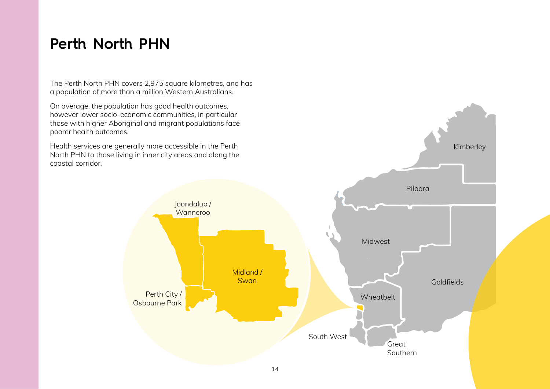## **Perth North PHN**

The Perth North PHN covers 2,975 square kilometres, and has a population of more than a million Western Australians.

On average, the population has good health outcomes, however lower socio-economic communities, in particular those with higher Aboriginal and migrant populations face poorer health outcomes.

Health services are generally more accessible in the Perth North PHN to those living in inner city areas and along the coastal corridor.

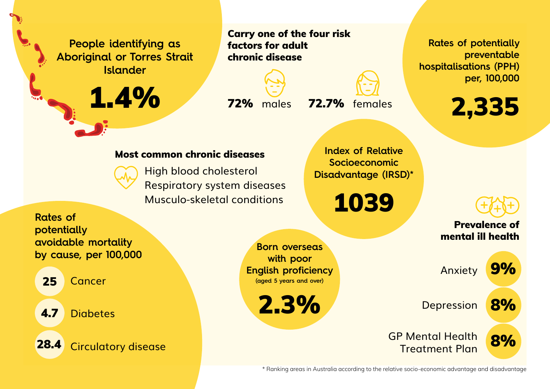**People identifying as Aboriginal or Torres Strait Islander**

1.4%

Carry one of the four risk factors for adult chronic disease



72% males 72.7% females

**Rates of potentially preventable hospitalisations (PPH) per, 100,000**



### Most common chronic diseases



High blood cholesterol Respiratory system diseases Musculo-skeletal conditions

**Index of Relative Socioeconomic Disadvantage (IRSD)\*** 

1039

**Rates of potentially avoidable mortality by cause, per 100,000**

Cancer 25

**Diabetes** 4.7

Circulatory disease 28.4

**Born overseas with poor English proficiency (aged 5 years and over)**

2.3%

Prevalence of mental ill health 9%

8%

8%

Anxiety

**Depression** 

GP Mental Health Treatment Plan

\* Ranking areas in Australia according to the relative socio-economic advantage and disadvantage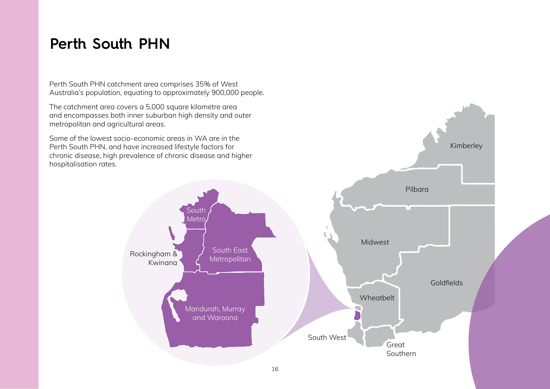## **Perth South PHN**

Perth South PHN catchment area comprises 35% of West Australia's population, equating to approximately 900,000 people.

The catchment area covers a 5,000 square kilometre area and encompasses both inner suburban high density and outer metropolitan and agricultural areas.

Some of the lowest socio-economic areas in WA are in the Perth South PHN, and have increased lifestyle factors for chronic disease, high prevalence of chronic disease and higher hospitalisation rates.

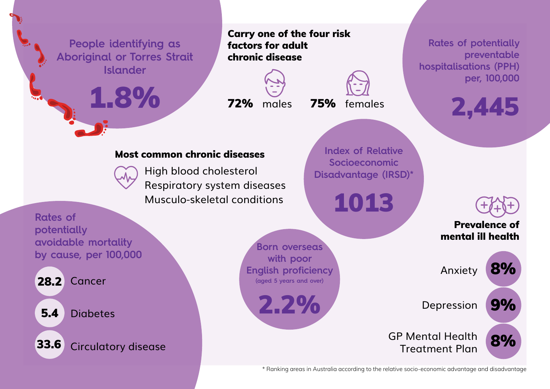

\* Ranking areas in Australia according to the relative socio-economic advantage and disadvantage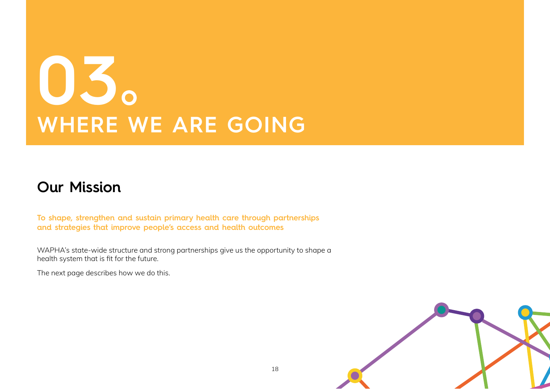## **03 WHERE WE ARE GOING**

## **Our Mission**

**To shape, strengthen and sustain primary health care through partnerships and strategies that improve people's access and health outcomes**

WAPHA's state-wide structure and strong partnerships give us the opportunity to shape a health system that is fit for the future.

The next page describes how we do this.

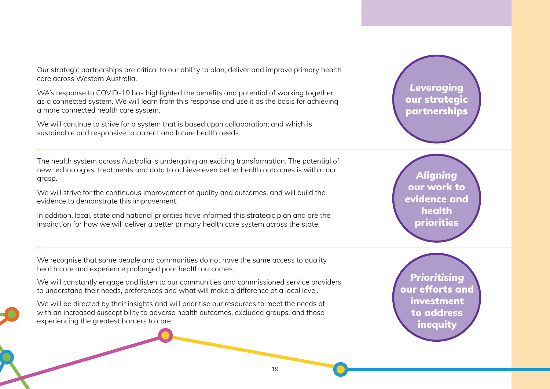Our strategic partnerships are critical to our ability to plan, deliver and improve primary health care across Western Australia.

WA's response to COVID-19 has highlighted the benefits and potential of working together as a connected system. We will learn from this response and use it as the basis for achieving a more connected health care system.

We will continue to strive for a system that is based upon collaboration; and which is sustainable and responsive to current and future health needs.

The health system across Australia is undergoing an exciting transformation. The potential of new technologies, treatments and data to achieve even better health outcomes is within our grasp.

We will strive for the continuous improvement of quality and outcomes, and will build the evidence to demonstrate this improvement.

In addition, local, state and national priorities have informed this strategic plan and are the inspiration for how we will deliver a better primary health care system across the state.

We recognise that some people and communities do not have the same access to quality health care and experience prolonged poor health outcomes.

We will constantly engage and listen to our communities and commissioned service providers to understand their needs, preferences and what will make a difference at a local level.

We will be directed by their insights and will prioritise our resources to meet the needs of with an increased susceptibility to adverse health outcomes, excluded groups, and those experiencing the greatest barriers to care.



*Aligning*  our work to evidence and health priorities

*Prioritising* our efforts and investment to address **inequity** 

19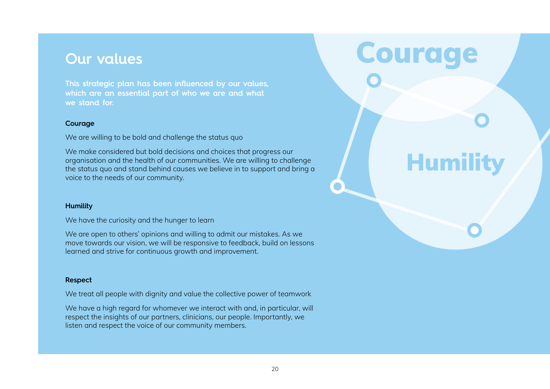**This strategic plan has been influenced by our values, which are an essential part of who we are and what we stand for.** 

#### **Courage**

We are willing to be bold and challenge the status quo

We make considered but bold decisions and choices that progress our organisation and the health of our communities. We are willing to challenge the status quo and stand behind causes we believe in to support and bring a voice to the needs of our community.

#### **Humility**

We have the curiosity and the hunger to learn

We are open to others' opinions and willing to admit our mistakes. As we move towards our vision, we will be responsive to feedback, build on lessons learned and strive for continuous growth and improvement.

#### **Respect**

We treat all people with dignity and value the collective power of teamwork

We have a high regard for whomever we interact with and, in particular, will respect the insights of our partners, clinicians, our people. Importantly, we listen and respect the voice of our community members.

## **Our values Courage**

**Humility**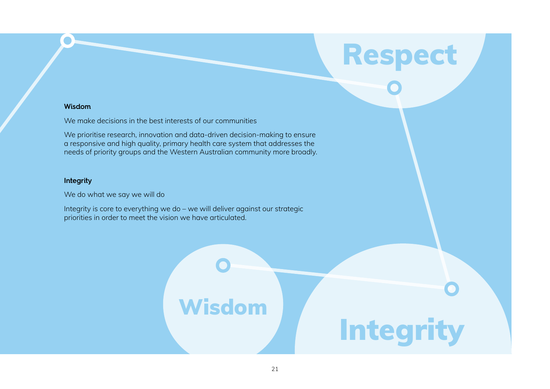#### **Wisdom**

We make decisions in the best interests of our communities

We prioritise research, innovation and data-driven decision-making to ensure a responsive and high quality, primary health care system that addresses the needs of priority groups and the Western Australian community more broadly.

#### **Integrity**

We do what we say we will do

Integrity is core to everything we do – we will deliver against our strategic priorities in order to meet the vision we have articulated.

# Wisdom **Integrity**

Respect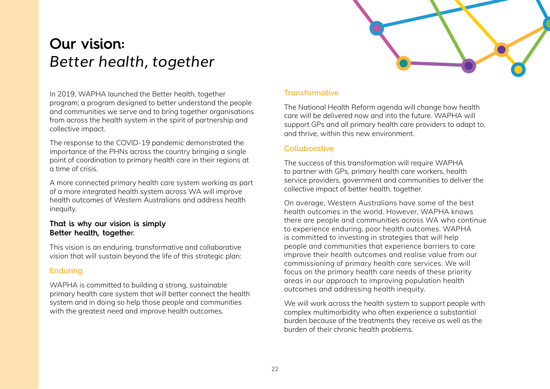

## **Our vision:**  *Better health, together*

In 2019, WAPHA launched the Better health, together program; a program designed to better understand the people and communities we serve and to bring together organisations from across the health system in the spirit of partnership and collective impact.

The response to the COVID-19 pandemic demonstrated the importance of the PHNs across the country bringing a single point of coordination to primary health care in their regions at a time of crisis.

A more connected primary health care system working as part of a more integrated health system across WA will improve health outcomes of Western Australians and address health inequity.

#### **That is why our vision is simply Better health, together.**

This vision is an enduring, transformative and collaborative vision that will sustain beyond the life of this strategic plan:

#### **Enduring**

WAPHA is committed to building a strong, sustainable primary health care system that will better connect the health system and in doing so help those people and communities with the greatest need and improve health outcomes.

#### **Transformative**

The National Health Reform agenda will change how health care will be delivered now and into the future. WAPHA will support GPs and all primary health care providers to adapt to, and thrive, within this new environment.

#### **Collaborative**

The success of this transformation will require WAPHA to partner with GPs, primary health care workers, health service providers, government and communities to deliver the collective impact of better health, together.

On average, Western Australians have some of the best health outcomes in the world. However, WAPHA knows there are people and communities across WA who continue to experience enduring, poor health outcomes. WAPHA is committed to investing in strategies that will help people and communities that experience barriers to care improve their health outcomes and realise value from our commissioning of primary health care services. We will focus on the primary health care needs of these priority areas in our approach to improving population health outcomes and addressing health inequity.

We will work across the health system to support people with complex multimorbidity who often experience a substantial burden because of the treatments they receive as well as the burden of their chronic health problems.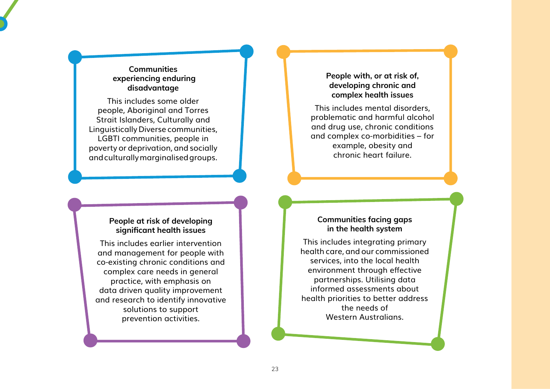#### **Communities experiencing enduring disadvantage**

This includes some older people, Aboriginal and Torres Strait Islanders, Culturally and Linguistically Diverse communities, LGBTI communities, people in poverty or deprivation, and socially and culturally marginalised groups.

#### **People with, or at risk of, developing chronic and complex health issues**

This includes mental disorders, problematic and harmful alcohol and drug use, chronic conditions and complex co-morbidities – for example, obesity and chronic heart failure.

#### **People at risk of developing significant health issues**

This includes earlier intervention and management for people with co-existing chronic conditions and complex care needs in general practice, with emphasis on data driven quality improvement and research to identify innovative solutions to support prevention activities.

#### **Communities facing gaps in the health system**

This includes integrating primary health care, and our commissioned services, into the local health environment through effective partnerships. Utilising data informed assessments about health priorities to better address the needs of Western Australians.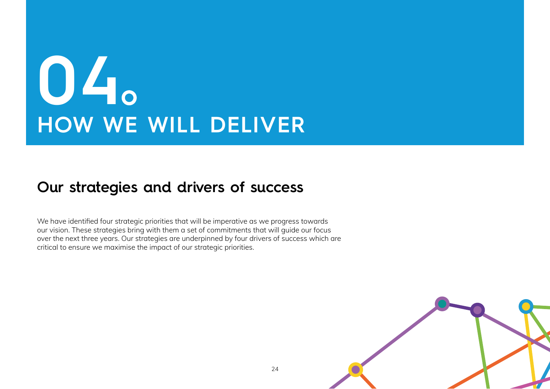## **04 HOW WE WILL DELIVER**

## **Our strategies and drivers of success**

We have identified four strategic priorities that will be imperative as we progress towards our vision. These strategies bring with them a set of commitments that will guide our focus over the next three years. Our strategies are underpinned by four drivers of success which are critical to ensure we maximise the impact of our strategic priorities.

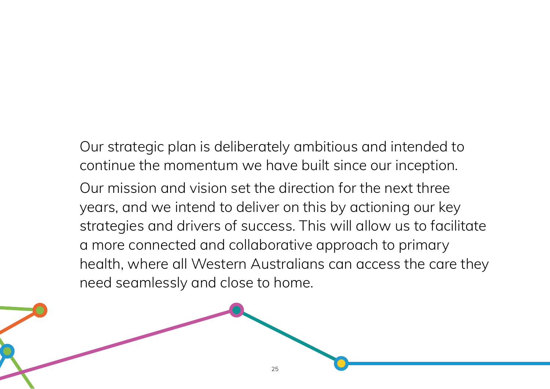Our strategic plan is deliberately ambitious and intended to continue the momentum we have built since our inception. Our mission and vision set the direction for the next three years, and we intend to deliver on this by actioning our key strategies and drivers of success. This will allow us to facilitate a more connected and collaborative approach to primary health, where all Western Australians can access the care they need seamlessly and close to home.

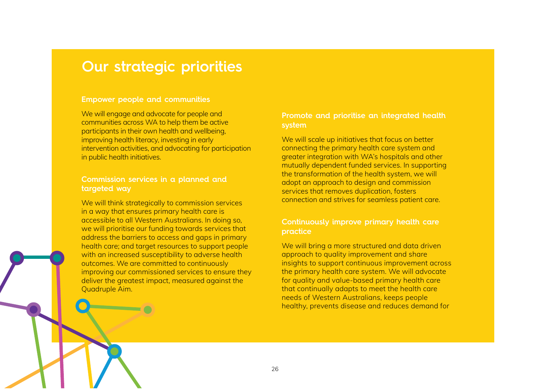### **Our strategic priorities**

#### **Empower people and communities**

We will engage and advocate for people and communities across WA to help them be active participants in their own health and wellbeing, improving health literacy, investing in early intervention activities, and advocating for participation in public health initiatives.

#### **Commission services in a planned and targeted way**

We will think strategically to commission services in a way that ensures primary health care is accessible to all Western Australians. In doing so, we will prioritise our funding towards services that address the barriers to access and gaps in primary health care; and target resources to support people with an increased susceptibility to adverse health outcomes. We are committed to continuously improving our commissioned services to ensure they deliver the greatest impact, measured against the Quadruple Aim.

#### **Promote and prioritise an integrated health system**

We will scale up initiatives that focus on better connecting the primary health care system and greater integration with WA's hospitals and other mutually dependent funded services. In supporting the transformation of the health system, we will adopt an approach to design and commission services that removes duplication, fosters connection and strives for seamless patient care.

#### **Continuously improve primary health care practice**

We will bring a more structured and data driven approach to quality improvement and share insights to support continuous improvement across the primary health care system. We will advocate for quality and value-based primary health care that continually adapts to meet the health care needs of Western Australians, keeps people healthy, prevents disease and reduces demand for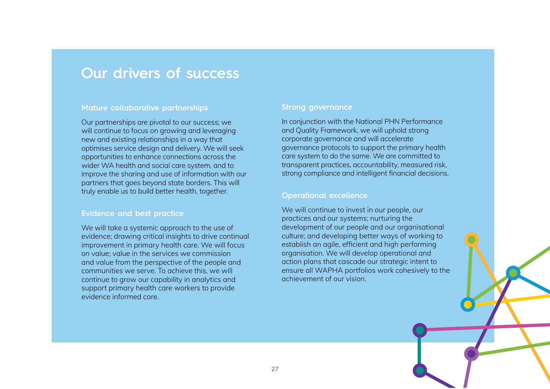### **Our drivers of success**

#### **Mature collaborative partnerships**

Our partnerships are pivotal to our success; we will continue to focus on growing and leveraging new and existing relationships in a way that optimises service design and delivery. We will seek opportunities to enhance connections across the wider WA health and social care system, and to improve the sharing and use of information with our partners that goes beyond state borders. This will truly enable us to build better health, together.

#### **Evidence and best practice**

We will take a systemic approach to the use of evidence; drawing critical insights to drive continual improvement in primary health care. We will focus on value; value in the services we commission and value from the perspective of the people and communities we serve. To achieve this, we will continue to grow our capability in analytics and support primary health care workers to provide evidence informed care.

#### **Strong governance**

In conjunction with the National PHN Performance and Quality Framework, we will uphold strong corporate governance and will accelerate governance protocols to support the primary health care system to do the same. We are committed to transparent practices, accountability, measured risk, strong compliance and intelligent financial decisions.

#### **Operational excellence**

We will continue to invest in our people, our practices and our systems; nurturing the development of our people and our organisational culture; and developing better ways of working to establish an agile, efficient and high performing organisation. We will develop operational and action plans that cascade our strategic intent to ensure all WAPHA portfolios work cohesively to the achievement of our vision.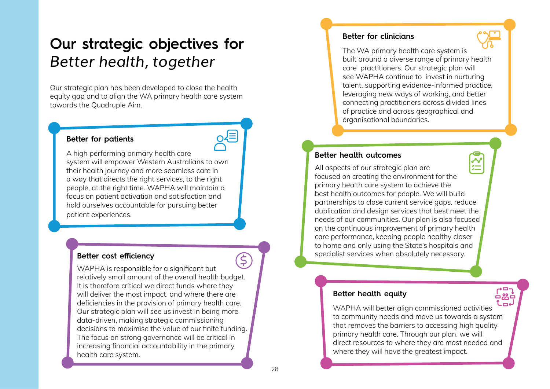## **Our strategic objectives for**  *Better health, together*

Our strategic plan has been developed to close the health equity gap and to align the WA primary health care system towards the Quadruple Aim.

#### **Better for patients**

A high performing primary health care system will empower Western Australians to own their health journey and more seamless care in a way that directs the right services, to the right people, at the right time. WAPHA will maintain a focus on patient activation and satisfaction and hold ourselves accountable for pursuing better patient experiences.

#### **Better cost efficiency**

 $\boldsymbol{\overline{\xi}}$ WAPHA is responsible for a significant but relatively small amount of the overall health budget. It is therefore critical we direct funds where they will deliver the most impact, and where there are deficiencies in the provision of primary health care. Our strategic plan will see us invest in being more data-driven, making strategic commissioning decisions to maximise the value of our finite funding. The focus on strong governance will be critical in increasing financial accountability in the primary health care system.

#### **Better for clinicians**



#### **Better health outcomes**

**NE** All aspects of our strategic plan are focused on creating the environment for the primary health care system to achieve the best health outcomes for people. We will build partnerships to close current service gaps, reduce duplication and design services that best meet the needs of our communities. Our plan is also focused on the continuous improvement of primary health care performance, keeping people healthy closer to home and only using the State's hospitals and specialist services when absolutely necessary.

#### **Better health equity**

Lme WAPHA will better align commissioned activities to community needs and move us towards a system that removes the barriers to accessing high quality primary health care. Through our plan, we will direct resources to where they are most needed and where they will have the greatest impact.

古然日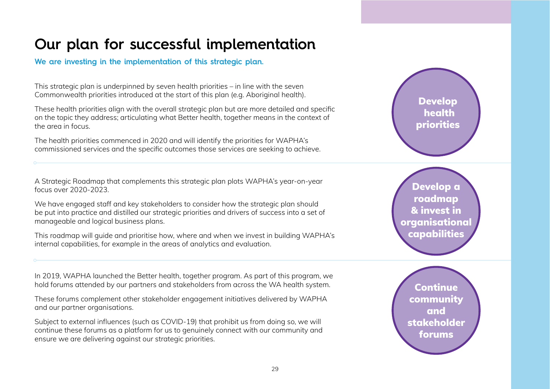## **Our plan for successful implementation**

**We are investing in the implementation of this strategic plan.** 

This strategic plan is underpinned by seven health priorities – in line with the seven Commonwealth priorities introduced at the start of this plan (e.g. Aboriginal health).

These health priorities align with the overall strategic plan but are more detailed and specific on the topic they address; articulating what Better health, together means in the context of the area in focus.

The health priorities commenced in 2020 and will identify the priorities for WAPHA's commissioned services and the specific outcomes those services are seeking to achieve.

A Strategic Roadmap that complements this strategic plan plots WAPHA's year-on-year focus over 2020-2023.

We have engaged staff and key stakeholders to consider how the strategic plan should be put into practice and distilled our strategic priorities and drivers of success into a set of manageable and logical business plans.

This roadmap will guide and prioritise how, where and when we invest in building WAPHA's internal capabilities, for example in the areas of analytics and evaluation.

In 2019, WAPHA launched the Better health, together program. As part of this program, we hold forums attended by our partners and stakeholders from across the WA health system.

These forums complement other stakeholder engagement initiatives delivered by WAPHA and our partner organisations.

Subject to external influences (such as COVID-19) that prohibit us from doing so, we will continue these forums as a platform for us to genuinely connect with our community and ensure we are delivering against our strategic priorities.

Develop a roadmap & invest in

Develop **health** priorities

organisational capabilities

Continue community and stakeholder forums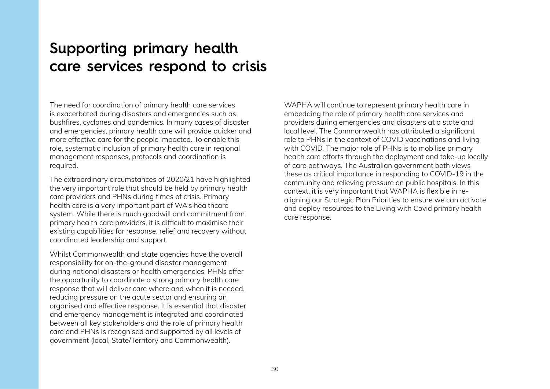## **Supporting primary health care services respond to crisis**

The need for coordination of primary health care services is exacerbated during disasters and emergencies such as bushfires, cyclones and pandemics. In many cases of disaster and emergencies, primary health care will provide quicker and more effective care for the people impacted. To enable this role, systematic inclusion of primary health care in regional management responses, protocols and coordination is required.

The extraordinary circumstances of 2020/21 have highlighted the very important role that should be held by primary health care providers and PHNs during times of crisis. Primary health care is a very important part of WA's healthcare system. While there is much goodwill and commitment from primary health care providers, it is difficult to maximise their existing capabilities for response, relief and recovery without coordinated leadership and support.

Whilst Commonwealth and state agencies have the overall responsibility for on-the-ground disaster management during national disasters or health emergencies, PHNs offer the opportunity to coordinate a strong primary health care response that will deliver care where and when it is needed, reducing pressure on the acute sector and ensuring an organised and effective response. It is essential that disaster and emergency management is integrated and coordinated between all key stakeholders and the role of primary health care and PHNs is recognised and supported by all levels of government (local, State/Territory and Commonwealth).

WAPHA will continue to represent primary health care in embedding the role of primary health care services and providers during emergencies and disasters at a state and local level. The Commonwealth has attributed a significant role to PHNs in the context of COVID vaccinations and living with COVID. The major role of PHNs is to mobilise primary health care efforts through the deployment and take-up locally of care pathways. The Australian government both views these as critical importance in responding to COVID-19 in the community and relieving pressure on public hospitals. In this context, it is very important that WAPHA is flexible in realigning our Strategic Plan Priorities to ensure we can activate and deploy resources to the Living with Covid primary health care response.